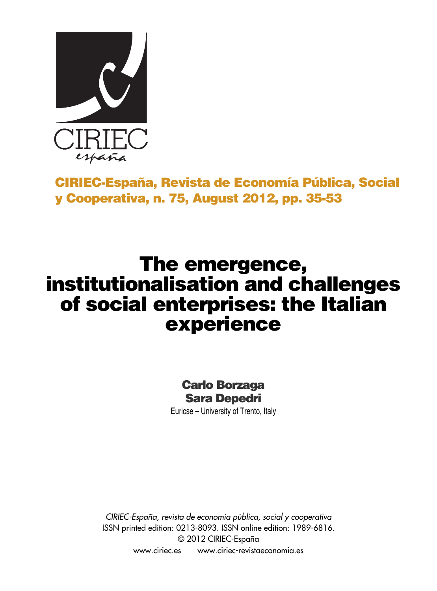

# **CIRIEC-España, Revista de Economía Pública, Social y Cooperativa, n. 75, August 2012, pp. 35-53**

# **The emergence, institutionalisation and challenges of social enterprises: the Italian experience**

# **Carlo Borzaga Sara Depedri**

Euricse – University of Trento, Italy

*CIRIEC-España, revista de economía pública, social y cooperativa* ISSN printed edition: 0213-8093. ISSN online edition: 1989-6816. © 2012 CIRIEC-España www.ciriec.es www.ciriec-revistaeconomia.es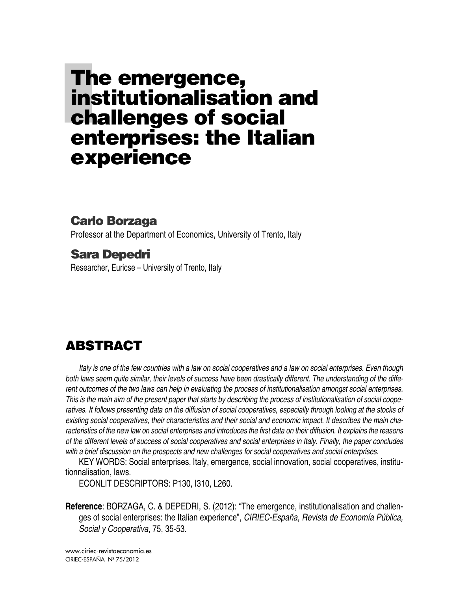# **The emergence, institutionalisation and challenges of social enterprises: the Italian experience**

### **Carlo Borzaga**

Professor at the Department of Economics, University of Trento, Italy

# **Sara Depedri**

Researcher, Euricse – University of Trento, Italy

# **ABSTRACT**

Italy is one of the few countries with a law on social cooperatives and a law on social enterprises. Even though both laws seem quite similar, their levels of success have been drastically different. The understanding of the different outcomes of the two laws can help in evaluating the process of institutionalisation amongst social enterprises. This is the main aim of the present paper that starts by describing the process of institutionalisation of social cooperatives. It follows presenting data on the diffusion of social cooperatives, especially through looking at the stocks of existing social cooperatives, their characteristics and their social and economic impact. It describes the main characteristics of the new law on social enterprises and introduces the first data on their diffusion. It explains the reasons of the different levels of success of social cooperatives and social enterprises in Italy. Finally, the paper concludes *with a brief discussion on the prospects and new challenges for social cooperatives and social enterprises.*

KEY WORDS: Social enterprises, Italy, emergence, social innovation, social cooperatives, institutionnalisation, laws.

ECONLIT DESCRIPTORS: P130, I310, L260.

**Reference**: BORZAGA, C. & DEPEDRI, S. (2012): "The emergence, institutionalisation and challenges of social enterprises: the Italian experience", *CIRIEC-España, Revista de Economía Pública, Social y Cooperativa*, 75, 35-53.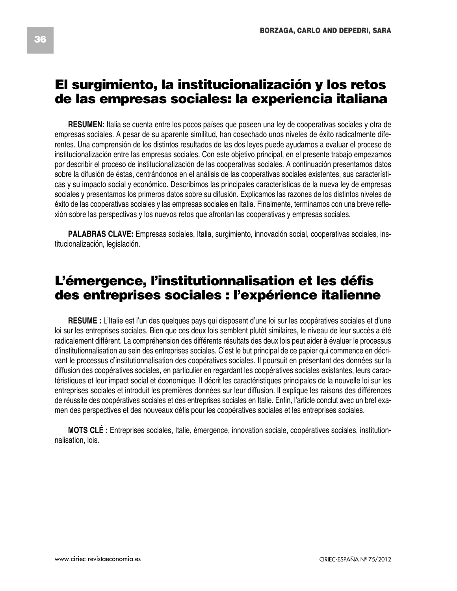## **El surgimiento, la institucionalización y los retos de las empresas sociales: la experiencia italiana**

**RESUMEN:** Italia se cuenta entre los pocos países que poseen una ley de cooperativas sociales y otra de empresas sociales. A pesar de su aparente similitud, han cosechado unos niveles de éxito radicalmente diferentes. Una comprensión de los distintos resultados de las dos leyes puede ayudarnos a evaluar el proceso de institucionalización entre las empresas sociales. Con este objetivo principal, en el presente trabajo empezamos por describir el proceso de institucionalización de las cooperativas sociales. A continuación presentamos datos sobre la difusión de éstas, centrándonos en el análisis de las cooperativas sociales existentes, sus características y su impacto social y económico. Describimos las principales características de la nueva ley de empresas sociales y presentamos los primeros datos sobre su difusión. Explicamos las razones de los distintos niveles de éxito de las cooperativas sociales y las empresas sociales en Italia. Finalmente, terminamos con una breve reflexión sobre las perspectivas y los nuevos retos que afrontan las cooperativas y empresas sociales.

**PALABRAS CLAVE:** Empresas sociales, Italia, surgimiento, innovación social, cooperativas sociales, institucionalización, legislación.

# **L'émergence, l'institutionnalisation et les défis des entreprises sociales : l'expérience italienne**

**RESUME** : L'Italie est l'un des quelques pays qui disposent d'une loi sur les coopératives sociales et d'une loi sur les entreprises sociales. Bien que ces deux lois semblent plutôt similaires, le niveau de leur succès a été radicalement différent. La compréhension des différents résultats des deux lois peut aider à évaluer le processus d'institutionnalisation au sein des entreprises sociales. C'est le but principal de ce papier qui commence en décrivant le processus d'institutionnalisation des coopératives sociales. Il poursuit en présentant des données sur la diffusion des coopératives sociales, en particulier en regardant les coopératives sociales existantes, leurs caractéristiques et leur impact social et économique. Il décrit les caractéristiques principales de la nouvelle loi sur les entreprises sociales et introduit les premières données sur leur diffusion. Il explique les raisons des différences de réussite des coopératives sociales et des entreprises sociales en Italie. Enfin, l'article conclut avec un bref examen des perspectives et des nouveaux défis pour les coopératives sociales et les entreprises sociales.

**MOTS CLÉ :** Entreprises sociales, Italie, émergence, innovation sociale, coopératives sociales, institutionnalisation, lois.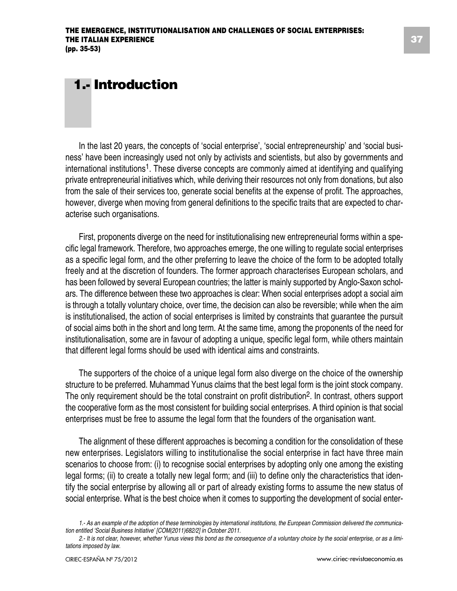# **1.- Introduction**

In the last 20 years, the concepts of 'social enterprise', 'social entrepreneurship' and 'social business' have been increasingly used not only by activists and scientists, but also by governments and international institutions<sup>1</sup>. These diverse concepts are commonly aimed at identifying and qualifying private entrepreneurial initiatives which, while deriving their resources not only from donations, but also from the sale of their services too, generate social benefits at the expense of profit. The approaches, however, diverge when moving from general definitions to the specific traits that are expected to characterise such organisations.

First, proponents diverge on the need for institutionalising new entrepreneurial forms within a specific legal framework. Therefore, two approaches emerge, the one willing to regulate social enterprises as a specific legal form, and the other preferring to leave the choice of the form to be adopted totally freely and at the discretion of founders. The former approach characterises European scholars, and has been followed by several European countries; the latter is mainly supported by Anglo-Saxon scholars. The difference between these two approaches is clear: When social enterprises adopt a social aim is through a totally voluntary choice, over time, the decision can also be reversible; while when the aim is institutionalised, the action of social enterprises is limited by constraints that guarantee the pursuit of social aims both in the short and long term. At the same time, among the proponents of the need for institutionalisation, some are in favour of adopting a unique, specific legal form, while others maintain that different legal forms should be used with identical aims and constraints.

The supporters of the choice of a unique legal form also diverge on the choice of the ownership structure to be preferred. Muhammad Yunus claims that the best legal form is the joint stock company. The only requirement should be the total constraint on profit distribution<sup>2</sup>. In contrast, others support the cooperative form as the most consistent for building social enterprises. A third opinion is that social enterprises must be free to assume the legal form that the founders of the organisation want.

The alignment of these different approaches is becoming a condition for the consolidation of these new enterprises. Legislators willing to institutionalise the social enterprise in fact have three main scenarios to choose from: (i) to recognise social enterprises by adopting only one among the existing legal forms; (ii) to create a totally new legal form; and (iii) to define only the characteristics that identify the social enterprise by allowing all or part of already existing forms to assume the new status of social enterprise. What is the best choice when it comes to supporting the development of social enter-

<sup>1.-</sup> As an example of the adoption of these terminologies by international institutions, the European Commission delivered the communica*tion entitled 'Social Business Initiative' [COM(2011)682/2] in October 2011.*

<sup>2.-</sup> It is not clear, however, whether Yunus views this bond as the consequence of a voluntary choice by the social enterprise, or as a limi*tations imposed by law.*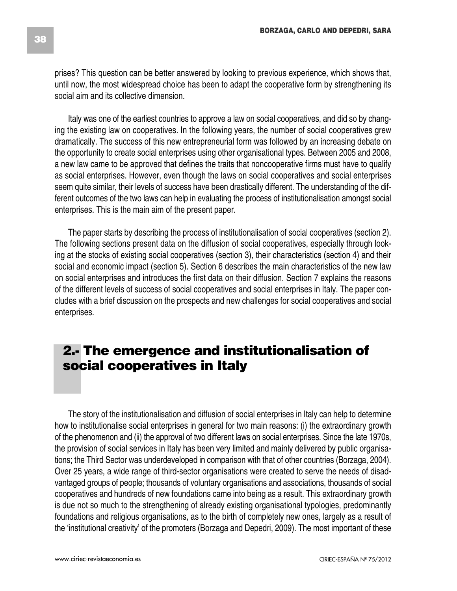prises? This question can be better answered by looking to previous experience, which shows that, until now, the most widespread choice has been to adapt the cooperative form by strengthening its social aim and its collective dimension.

Italy was one of the earliest countries to approve a law on social cooperatives, and did so by changing the existing law on cooperatives. In the following years, the number of social cooperatives grew dramatically. The success of this new entrepreneurial form was followed by an increasing debate on the opportunity to create social enterprises using other organisational types. Between 2005 and 2008, a new law came to be approved that defines the traits that noncooperative firms must have to qualify as social enterprises. However, even though the laws on social cooperatives and social enterprises seem quite similar, their levels of success have been drastically different. The understanding of the different outcomes of the two laws can help in evaluating the process of institutionalisation amongst social enterprises. This is the main aim of the present paper.

The paper starts by describing the process of institutionalisation of social cooperatives (section 2). The following sections present data on the diffusion of social cooperatives, especially through looking at the stocks of existing social cooperatives (section 3), their characteristics (section 4) and their social and economic impact (section 5). Section 6 describes the main characteristics of the new law on social enterprises and introduces the first data on their diffusion. Section 7 explains the reasons of the different levels of success of social cooperatives and social enterprises in Italy. The paper concludes with a brief discussion on the prospects and new challenges for social cooperatives and social enterprises.

# **2.- The emergence and institutionalisation of social cooperatives in Italy**

The story of the institutionalisation and diffusion of social enterprises in Italy can help to determine how to institutionalise social enterprises in general for two main reasons: (i) the extraordinary growth of the phenomenon and (ii) the approval of two different laws on social enterprises. Since the late 1970s, the provision of social services in Italy has been very limited and mainly delivered by public organisations; the Third Sector was underdeveloped in comparison with that of other countries (Borzaga, 2004). Over 25 years, a wide range of third-sector organisations were created to serve the needs of disadvantaged groups of people; thousands of voluntary organisations and associations, thousands of social cooperatives and hundreds of new foundations came into being as a result. This extraordinary growth is due not so much to the strengthening of already existing organisational typologies, predominantly foundations and religious organisations, as to the birth of completely new ones, largely as a result of the 'institutional creativity' of the promoters (Borzaga and Depedri, 2009). The most important of these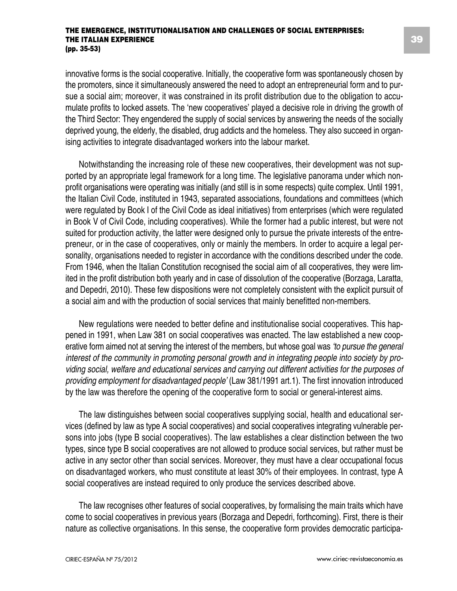innovative forms is the social cooperative. Initially, the cooperative form was spontaneously chosen by the promoters, since it simultaneously answered the need to adopt an entrepreneurial form and to pursue a social aim; moreover, it was constrained in its profit distribution due to the obligation to accumulate profits to locked assets. The 'new cooperatives' played a decisive role in driving the growth of the Third Sector: They engendered the supply of social services by answering the needs of the socially deprived young, the elderly, the disabled, drug addicts and the homeless. They also succeed in organising activities to integrate disadvantaged workers into the labour market.

Notwithstanding the increasing role of these new cooperatives, their development was not supported by an appropriate legal framework for a long time. The legislative panorama under which nonprofit organisations were operating was initially (and still is in some respects) quite complex. Until 1991, the Italian Civil Code, instituted in 1943, separated associations, foundations and committees (which were regulated by Book I of the Civil Code as ideal initiatives) from enterprises (which were regulated in Book V of Civil Code, including cooperatives). While the former had a public interest, but were not suited for production activity, the latter were designed only to pursue the private interests of the entrepreneur, or in the case of cooperatives, only or mainly the members. In order to acquire a legal personality, organisations needed to register in accordance with the conditions described under the code. From 1946, when the Italian Constitution recognised the social aim of all cooperatives, they were limited in the profit distribution both yearly and in case of dissolution of the cooperative (Borzaga, Laratta, and Depedri, 2010). These few dispositions were not completely consistent with the explicit pursuit of a social aim and with the production of social services that mainly benefitted non-members.

New regulations were needed to better define and institutionalise social cooperatives. This happened in 1991, when Law 381 on social cooperatives was enacted. The law established a new cooperative form aimed not at serving the interest of the members, but whose goal was *'to pursue the general interest of the community in promoting personal growth and in integrating people into society by providing social, welfare and educational services and carrying out different activities for the purposes of providing employment for disadvantaged people'* (Law 381/1991 art.1). The first innovation introduced by the law was therefore the opening of the cooperative form to social or general-interest aims.

The law distinguishes between social cooperatives supplying social, health and educational services (defined by law as type A social cooperatives) and social cooperatives integrating vulnerable persons into jobs (type B social cooperatives). The law establishes a clear distinction between the two types, since type B social cooperatives are not allowed to produce social services, but rather must be active in any sector other than social services. Moreover, they must have a clear occupational focus on disadvantaged workers, who must constitute at least 30% of their employees. In contrast, type A social cooperatives are instead required to only produce the services described above.

The law recognises other features of social cooperatives, by formalising the main traits which have come to social cooperatives in previous years (Borzaga and Depedri, forthcoming). First, there is their nature as collective organisations. In this sense, the cooperative form provides democratic participa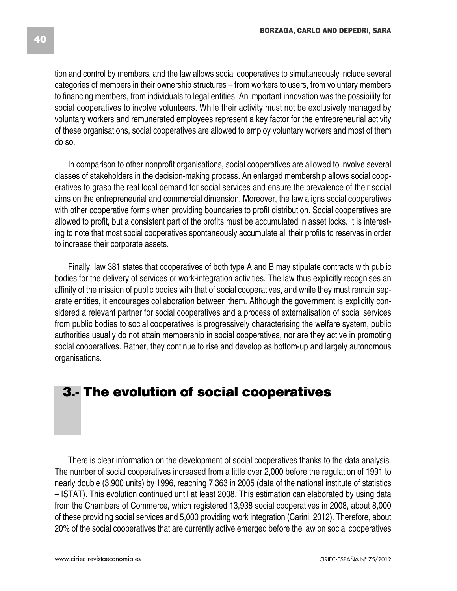tion and control by members, and the law allows social cooperatives to simultaneously include several categories of members in their ownership structures – from workers to users, from voluntary members to financing members, from individuals to legal entities. An important innovation was the possibility for social cooperatives to involve volunteers. While their activity must not be exclusively managed by voluntary workers and remunerated employees represent a key factor for the entrepreneurial activity of these organisations, social cooperatives are allowed to employ voluntary workers and most of them do so.

In comparison to other nonprofit organisations, social cooperatives are allowed to involve several classes of stakeholders in the decision-making process. An enlarged membership allows social cooperatives to grasp the real local demand for social services and ensure the prevalence of their social aims on the entrepreneurial and commercial dimension. Moreover, the law aligns social cooperatives with other cooperative forms when providing boundaries to profit distribution. Social cooperatives are allowed to profit, but a consistent part of the profits must be accumulated in asset locks. It is interesting to note that most social cooperatives spontaneously accumulate all their profits to reserves in order to increase their corporate assets.

Finally, law 381 states that cooperatives of both type A and B may stipulate contracts with public bodies for the delivery of services or work-integration activities. The law thus explicitly recognises an affinity of the mission of public bodies with that of social cooperatives, and while they must remain separate entities, it encourages collaboration between them. Although the government is explicitly considered a relevant partner for social cooperatives and a process of externalisation of social services from public bodies to social cooperatives is progressively characterising the welfare system, public authorities usually do not attain membership in social cooperatives, nor are they active in promoting social cooperatives. Rather, they continue to rise and develop as bottom-up and largely autonomous organisations.

# **3.- The evolution of social cooperatives**

There is clear information on the development of social cooperatives thanks to the data analysis. The number of social cooperatives increased from a little over 2,000 before the regulation of 1991 to nearly double (3,900 units) by 1996, reaching 7,363 in 2005 (data of the national institute of statistics – ISTAT). This evolution continued until at least 2008. This estimation can elaborated by using data from the Chambers of Commerce, which registered 13,938 social cooperatives in 2008, about 8,000 of these providing social services and 5,000 providing work integration (Carini, 2012). Therefore, about 20% of the social cooperatives that are currently active emerged before the law on social cooperatives

**40**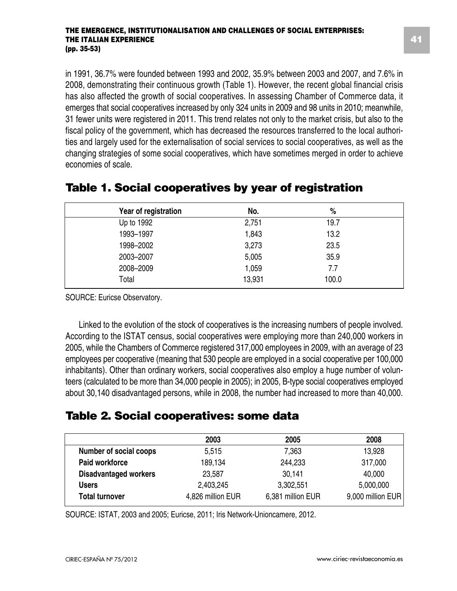in 1991, 36.7% were founded between 1993 and 2002, 35.9% between 2003 and 2007, and 7.6% in 2008, demonstrating their continuous growth (Table 1). However, the recent global financial crisis has also affected the growth of social cooperatives. In assessing Chamber of Commerce data, it emerges that social cooperatives increased by only 324 units in 2009 and 98 units in 2010; meanwhile, 31 fewer units were registered in 2011. This trend relates not only to the market crisis, but also to the fiscal policy of the government, which has decreased the resources transferred to the local authorities and largely used for the externalisation of social services to social cooperatives, as well as the changing strategies of some social cooperatives, which have sometimes merged in order to achieve economies of scale.

| Year of registration | No.    | %     |  |
|----------------------|--------|-------|--|
| Up to 1992           | 2,751  | 19.7  |  |
| 1993-1997            | 1,843  | 13.2  |  |
| 1998-2002            | 3,273  | 23.5  |  |
| 2003-2007            | 5,005  | 35.9  |  |
| 2008-2009            | 1,059  | 7.7   |  |
| Total                | 13,931 | 100.0 |  |

### **Table 1. Social cooperatives by year of registration**

SOURCE: Euricse Observatory.

Linked to the evolution of the stock of cooperatives is the increasing numbers of people involved. According to the ISTAT census, social cooperatives were employing more than 240,000 workers in 2005, while the Chambers of Commerce registered 317,000 employees in 2009, with an average of 23 employees per cooperative (meaning that 530 people are employed in a social cooperative per 100,000 inhabitants). Other than ordinary workers, social cooperatives also employ a huge number of volunteers (calculated to be more than 34,000 people in 2005); in 2005, B-type social cooperatives employed about 30,140 disadvantaged persons, while in 2008, the number had increased to more than 40,000.

### **Table 2. Social cooperatives: some data**

|                              | 2003              | 2005              | 2008              |
|------------------------------|-------------------|-------------------|-------------------|
| Number of social coops       | 5.515             | 7.363             | 13.928            |
| <b>Paid workforce</b>        | 189.134           | 244.233           | 317,000           |
| <b>Disadvantaged workers</b> | 23.587            | 30.141            | 40.000            |
| <b>Users</b>                 | 2.403.245         | 3,302,551         | 5,000,000         |
| <b>Total turnover</b>        | 4,826 million EUR | 6,381 million EUR | 9,000 million EUR |

SOURCE: ISTAT, 2003 and 2005; Euricse, 2011; Iris Network-Unioncamere, 2012.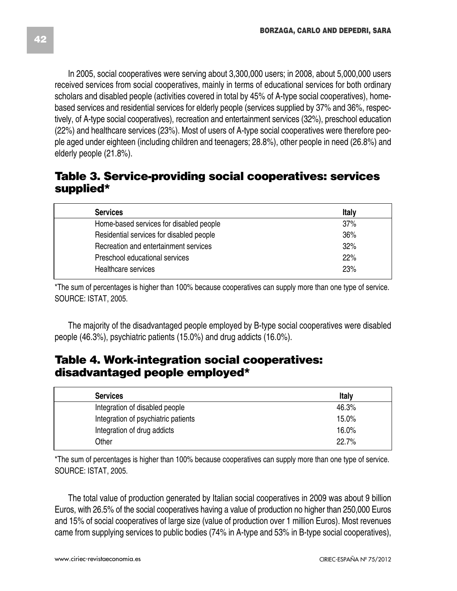received services from social cooperatives, mainly in terms of educational services for both ordinary scholars and disabled people (activities covered in total by 45% of A-type social cooperatives), homebased services and residential services for elderly people (services supplied by 37% and 36%, respectively, of A-type social cooperatives), recreation and entertainment services (32%), preschool education (22%) and healthcare services (23%). Most of users of A-type social cooperatives were therefore people aged under eighteen (including children and teenagers; 28.8%), other people in need (26.8%) and elderly people (21.8%).

### **Table 3. Service-providing social cooperatives: services supplied\***

| <b>Services</b>                          | Italy |
|------------------------------------------|-------|
| Home-based services for disabled people  | 37%   |
| Residential services for disabled people | 36%   |
| Recreation and entertainment services    | 32%   |
| Preschool educational services           | 22%   |
| Healthcare services                      | 23%   |

\*The sum of percentages is higher than 100% because cooperatives can supply more than one type of service. SOURCE: ISTAT, 2005.

The majority of the disadvantaged people employed by B-type social cooperatives were disabled people (46.3%), psychiatric patients (15.0%) and drug addicts (16.0%).

### **Table 4. Work-integration social cooperatives: disadvantaged people employed\***

| <b>Services</b>                     | Italy |
|-------------------------------------|-------|
| Integration of disabled people      | 46.3% |
| Integration of psychiatric patients | 15.0% |
| Integration of drug addicts         | 16.0% |
| Other                               | 22.7% |

\*The sum of percentages is higher than 100% because cooperatives can supply more than one type of service. SOURCE: ISTAT, 2005.

The total value of production generated by Italian social cooperatives in 2009 was about 9 billion Euros, with 26.5% of the social cooperatives having a value of production no higher than 250,000 Euros and 15% of social cooperatives of large size (value of production over 1 million Euros). Most revenues came from supplying services to public bodies (74% in A-type and 53% in B-type social cooperatives),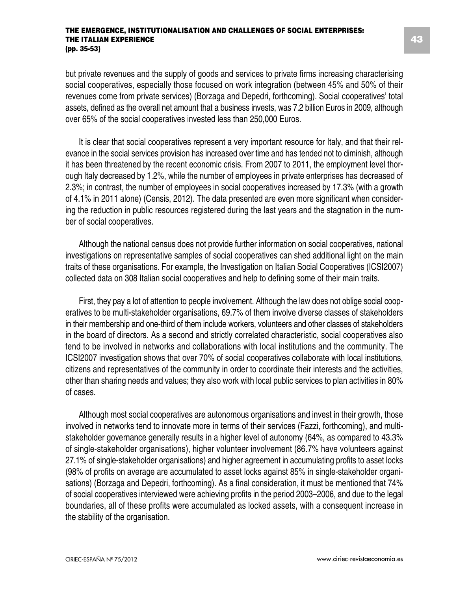but private revenues and the supply of goods and services to private firms increasing characterising social cooperatives, especially those focused on work integration (between 45% and 50% of their revenues come from private services) (Borzaga and Depedri, forthcoming). Social cooperatives' total assets, defined as the overall net amount that a business invests, was 7.2 billion Euros in 2009, although over 65% of the social cooperatives invested less than 250,000 Euros.

It is clear that social cooperatives represent a very important resource for Italy, and that their relevance in the social services provision has increased over time and has tended not to diminish, although it has been threatened by the recent economic crisis. From 2007 to 2011, the employment level thorough Italy decreased by 1.2%, while the number of employees in private enterprises has decreased of 2.3%; in contrast, the number of employees in social cooperatives increased by 17.3% (with a growth of 4.1% in 2011 alone) (Censis, 2012). The data presented are even more significant when considering the reduction in public resources registered during the last years and the stagnation in the number of social cooperatives.

Although the national census does not provide further information on social cooperatives, national investigations on representative samples of social cooperatives can shed additional light on the main traits of these organisations. For example, the Investigation on Italian Social Cooperatives (ICSI2007) collected data on 308 Italian social cooperatives and help to defining some of their main traits.

First, they pay a lot of attention to people involvement. Although the law does not oblige social cooperatives to be multi-stakeholder organisations, 69.7% of them involve diverse classes of stakeholders in their membership and one-third of them include workers, volunteers and other classes of stakeholders in the board of directors. As a second and strictly correlated characteristic, social cooperatives also tend to be involved in networks and collaborations with local institutions and the community. The ICSI2007 investigation shows that over 70% of social cooperatives collaborate with local institutions, citizens and representatives of the community in order to coordinate their interests and the activities, other than sharing needs and values; they also work with local public services to plan activities in 80% of cases.

Although most social cooperatives are autonomous organisations and invest in their growth, those involved in networks tend to innovate more in terms of their services (Fazzi, forthcoming), and multistakeholder governance generally results in a higher level of autonomy (64%, as compared to 43.3% of single-stakeholder organisations), higher volunteer involvement (86.7% have volunteers against 27.1% of single-stakeholder organisations) and higher agreement in accumulating profits to asset locks (98% of profits on average are accumulated to asset locks against 85% in single-stakeholder organisations) (Borzaga and Depedri, forthcoming). As a final consideration, it must be mentioned that 74% of social cooperatives interviewed were achieving profits in the period 2003–2006, and due to the legal boundaries, all of these profits were accumulated as locked assets, with a consequent increase in the stability of the organisation.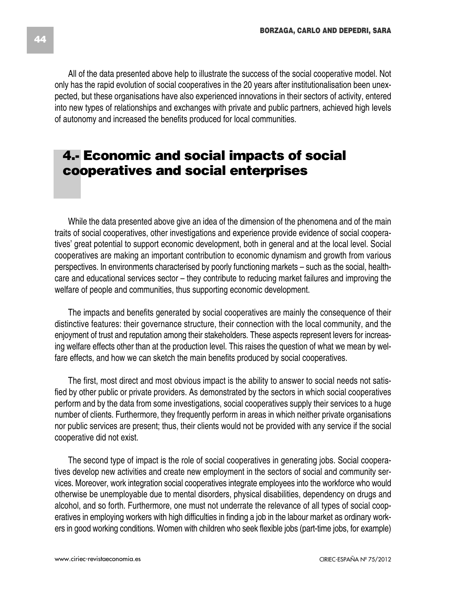All of the data presented above help to illustrate the success of the social cooperative model. Not only has the rapid evolution of social cooperatives in the 20 years after institutionalisation been unexpected, but these organisations have also experienced innovations in their sectors of activity, entered into new types of relationships and exchanges with private and public partners, achieved high levels of autonomy and increased the benefits produced for local communities.

# **4.- Economic and social impacts of social cooperatives and social enterprises**

While the data presented above give an idea of the dimension of the phenomena and of the main traits of social cooperatives, other investigations and experience provide evidence of social cooperatives' great potential to support economic development, both in general and at the local level. Social cooperatives are making an important contribution to economic dynamism and growth from various perspectives. In environments characterised by poorly functioning markets – such as the social, healthcare and educational services sector – they contribute to reducing market failures and improving the welfare of people and communities, thus supporting economic development.

The impacts and benefits generated by social cooperatives are mainly the consequence of their distinctive features: their governance structure, their connection with the local community, and the enjoyment of trust and reputation among their stakeholders. These aspects represent levers for increasing welfare effects other than at the production level. This raises the question of what we mean by welfare effects, and how we can sketch the main benefits produced by social cooperatives.

The first, most direct and most obvious impact is the ability to answer to social needs not satisfied by other public or private providers. As demonstrated by the sectors in which social cooperatives perform and by the data from some investigations, social cooperatives supply their services to a huge number of clients. Furthermore, they frequently perform in areas in which neither private organisations nor public services are present; thus, their clients would not be provided with any service if the social cooperative did not exist.

The second type of impact is the role of social cooperatives in generating jobs. Social cooperatives develop new activities and create new employment in the sectors of social and community services. Moreover, work integration social cooperatives integrate employees into the workforce who would otherwise be unemployable due to mental disorders, physical disabilities, dependency on drugs and alcohol, and so forth. Furthermore, one must not underrate the relevance of all types of social cooperatives in employing workers with high difficulties in finding a job in the labour market as ordinary workers in good working conditions. Women with children who seek flexible jobs (part-time jobs, for example)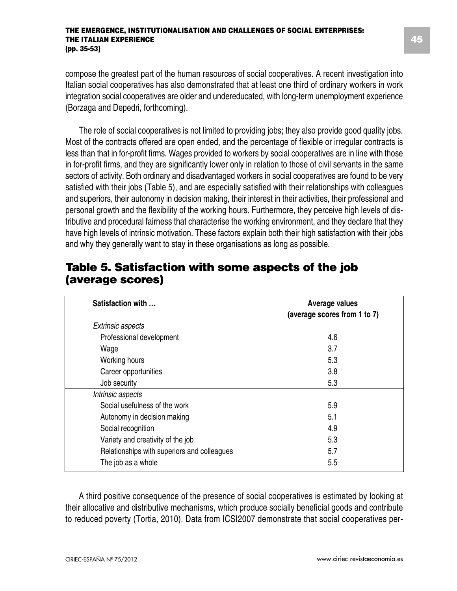compose the greatest part of the human resources of social cooperatives. A recent investigation into Italian social cooperatives has also demonstrated that at least one third of ordinary workers in work integration social cooperatives are older and undereducated, with long-term unemployment experience (Borzaga and Depedri, forthcoming).

The role of social cooperatives is not limited to providing jobs; they also provide good quality jobs. Most of the contracts offered are open ended, and the percentage of flexible or irregular contracts is less than that in for-profit firms. Wages provided to workers by social cooperatives are in line with those in for-profit firms, and they are significantly lower only in relation to those of civil servants in the same sectors of activity. Both ordinary and disadvantaged workers in social cooperatives are found to be very satisfied with their jobs (Table 5), and are especially satisfied with their relationships with colleagues and superiors, their autonomy in decision making, their interest in their activities, their professional and personal growth and the flexibility of the working hours. Furthermore, they perceive high levels of distributive and procedural fairness that characterise the working environment, and they declare that they have high levels of intrinsic motivation. These factors explain both their high satisfaction with their jobs and why they generally want to stay in these organisations as long as possible.

| Satisfaction with                           | Average values<br>(average scores from 1 to 7) |
|---------------------------------------------|------------------------------------------------|
| Extrinsic aspects                           |                                                |
| Professional development                    | 4.6                                            |
| Wage                                        | 3.7                                            |
| Working hours                               | 5.3                                            |
| Career opportunities                        | 3.8                                            |
| Job security                                | 5.3                                            |
| Intrinsic aspects                           |                                                |
| Social usefulness of the work               | 5.9                                            |
| Autonomy in decision making                 | 5.1                                            |
| Social recognition                          | 4.9                                            |
| Variety and creativity of the job           | 5.3                                            |
| Relationships with superiors and colleagues | 5.7                                            |
| The job as a whole                          | 5.5                                            |

### **Table 5. Satisfaction with some aspects of the job (average scores)**

A third positive consequence of the presence of social cooperatives is estimated by looking at their allocative and distributive mechanisms, which produce socially beneficial goods and contribute to reduced poverty (Tortia, 2010). Data from ICSI2007 demonstrate that social cooperatives per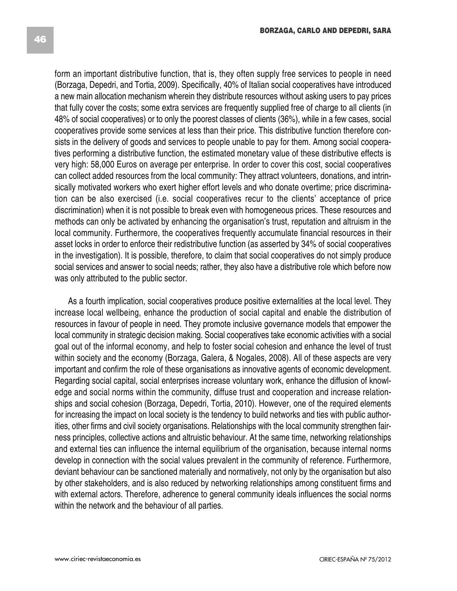form an important distributive function, that is, they often supply free services to people in need (Borzaga, Depedri, and Tortia, 2009). Specifically, 40% of Italian social cooperatives have introduced a new main allocation mechanism wherein they distribute resources without asking users to pay prices that fully cover the costs; some extra services are frequently supplied free of charge to all clients (in 48% of social cooperatives) or to only the poorest classes of clients (36%), while in a few cases, social cooperatives provide some services at less than their price. This distributive function therefore consists in the delivery of goods and services to people unable to pay for them. Among social cooperatives performing a distributive function, the estimated monetary value of these distributive effects is very high: 58,000 Euros on average per enterprise. In order to cover this cost, social cooperatives can collect added resources from the local community: They attract volunteers, donations, and intrinsically motivated workers who exert higher effort levels and who donate overtime; price discrimination can be also exercised (i.e. social cooperatives recur to the clients' acceptance of price discrimination) when it is not possible to break even with homogeneous prices. These resources and methods can only be activated by enhancing the organisation's trust, reputation and altruism in the local community. Furthermore, the cooperatives frequently accumulate financial resources in their asset locks in order to enforce their redistributive function (as asserted by 34% of social cooperatives in the investigation). It is possible, therefore, to claim that social cooperatives do not simply produce social services and answer to social needs; rather, they also have a distributive role which before now was only attributed to the public sector.

As a fourth implication, social cooperatives produce positive externalities at the local level. They increase local wellbeing, enhance the production of social capital and enable the distribution of resources in favour of people in need. They promote inclusive governance models that empower the local community in strategic decision making. Social cooperatives take economic activities with a social goal out of the informal economy, and help to foster social cohesion and enhance the level of trust within society and the economy (Borzaga, Galera, & Nogales, 2008). All of these aspects are very important and confirm the role of these organisations as innovative agents of economic development. Regarding social capital, social enterprises increase voluntary work, enhance the diffusion of knowledge and social norms within the community, diffuse trust and cooperation and increase relationships and social cohesion (Borzaga, Depedri, Tortia, 2010). However, one of the required elements for increasing the impact on local society is the tendency to build networks and ties with public authorities, other firms and civil society organisations. Relationships with the local community strengthen fairness principles, collective actions and altruistic behaviour. At the same time, networking relationships and external ties can influence the internal equilibrium of the organisation, because internal norms develop in connection with the social values prevalent in the community of reference. Furthermore, deviant behaviour can be sanctioned materially and normatively, not only by the organisation but also by other stakeholders, and is also reduced by networking relationships among constituent firms and with external actors. Therefore, adherence to general community ideals influences the social norms within the network and the behaviour of all parties.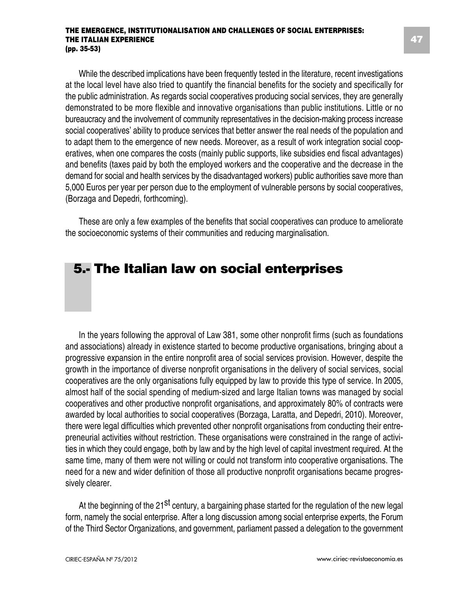While the described implications have been frequently tested in the literature, recent investigations at the local level have also tried to quantify the financial benefits for the society and specifically for the public administration. As regards social cooperatives producing social services, they are generally demonstrated to be more flexible and innovative organisations than public institutions. Little or no bureaucracy and the involvement of community representatives in the decision-making process increase social cooperatives' ability to produce services that better answer the real needs of the population and to adapt them to the emergence of new needs. Moreover, as a result of work integration social cooperatives, when one compares the costs (mainly public supports, like subsidies end fiscal advantages) and benefits (taxes paid by both the employed workers and the cooperative and the decrease in the demand for social and health services by the disadvantaged workers) public authorities save more than 5,000 Euros per year per person due to the employment of vulnerable persons by social cooperatives, (Borzaga and Depedri, forthcoming).

These are only a few examples of the benefits that social cooperatives can produce to ameliorate the socioeconomic systems of their communities and reducing marginalisation.

# **5.- The Italian law on social enterprises**

In the years following the approval of Law 381, some other nonprofit firms (such as foundations and associations) already in existence started to become productive organisations, bringing about a progressive expansion in the entire nonprofit area of social services provision. However, despite the growth in the importance of diverse nonprofit organisations in the delivery of social services, social cooperatives are the only organisations fully equipped by law to provide this type of service. In 2005, almost half of the social spending of medium-sized and large Italian towns was managed by social cooperatives and other productive nonprofit organisations, and approximately 80% of contracts were awarded by local authorities to social cooperatives (Borzaga, Laratta, and Depedri, 2010). Moreover, there were legal difficulties which prevented other nonprofit organisations from conducting their entrepreneurial activities without restriction. These organisations were constrained in the range of activities in which they could engage, both by law and by the high level of capital investment required. At the same time, many of them were not willing or could not transform into cooperative organisations. The need for a new and wider definition of those all productive nonprofit organisations became progressively clearer.

At the beginning of the 21<sup>st</sup> century, a bargaining phase started for the regulation of the new legal form, namely the social enterprise. After a long discussion among social enterprise experts, the Forum of the Third Sector Organizations, and government, parliament passed a delegation to the government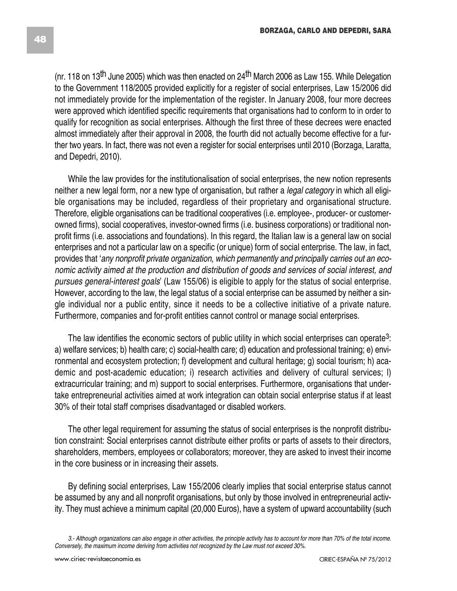(nr. 118 on 13<sup>th</sup> June 2005) which was then enacted on 24<sup>th</sup> March 2006 as Law 155. While Delegation to the Government 118/2005 provided explicitly for a register of social enterprises, Law 15/2006 did not immediately provide for the implementation of the register. In January 2008, four more decrees were approved which identified specific requirements that organisations had to conform to in order to qualify for recognition as social enterprises. Although the first three of these decrees were enacted almost immediately after their approval in 2008, the fourth did not actually become effective for a further two years. In fact, there was not even a register for social enterprises until 2010 (Borzaga, Laratta, and Depedri, 2010).

While the law provides for the institutionalisation of social enterprises, the new notion represents neither a new legal form, nor a new type of organisation, but rather a *legal category* in which all eligible organisations may be included, regardless of their proprietary and organisational structure. Therefore, eligible organisations can be traditional cooperatives (i.e. employee-, producer- or customerowned firms), social cooperatives, investor-owned firms (i.e. business corporations) or traditional nonprofit firms (i.e. associations and foundations). In this regard, the Italian law is a general law on social enterprises and not a particular law on a specific (or unique) form of social enterprise. The law, in fact, provides that '*any nonprofit private organization, which permanently and principally carries out an economic activity aimed at the production and distribution of goods and services of social interest, and pursues general-interest goals*' (Law 155/06) is eligible to apply for the status of social enterprise*.* However, according to the law, the legal status of a social enterprise can be assumed by neither a single individual nor a public entity, since it needs to be a collective initiative of a private nature. Furthermore, companies and for-profit entities cannot control or manage social enterprises.

The law identifies the economic sectors of public utility in which social enterprises can operate<sup>3</sup>: a) welfare services; b) health care; c) social-health care; d) education and professional training; e) environmental and ecosystem protection; f) development and cultural heritage; g) social tourism; h) academic and post-academic education; i) research activities and delivery of cultural services; l) extracurricular training; and m) support to social enterprises. Furthermore, organisations that undertake entrepreneurial activities aimed at work integration can obtain social enterprise status if at least 30% of their total staff comprises disadvantaged or disabled workers.

The other legal requirement for assuming the status of social enterprises is the nonprofit distribution constraint: Social enterprises cannot distribute either profits or parts of assets to their directors, shareholders, members, employees or collaborators; moreover, they are asked to invest their income in the core business or in increasing their assets.

By defining social enterprises, Law 155/2006 clearly implies that social enterprise status cannot be assumed by any and all nonprofit organisations, but only by those involved in entrepreneurial activity. They must achieve a minimum capital (20,000 Euros), have a system of upward accountability (such

<sup>3.-</sup> Although organizations can also engage in other activities, the principle activity has to account for more than 70% of the total income. *Conversely, the maximum income deriving from activities not recognized by the Law must not exceed 30%.*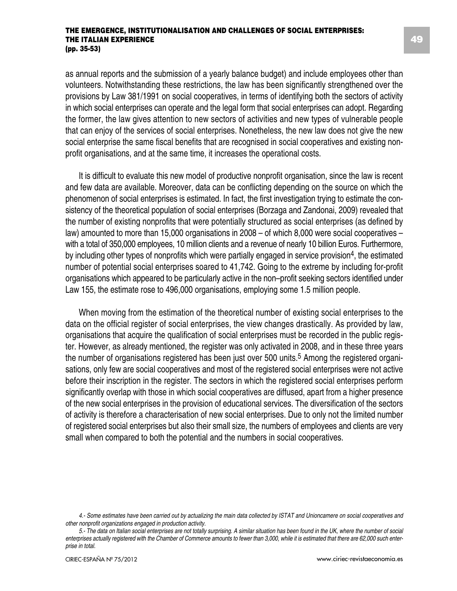as annual reports and the submission of a yearly balance budget) and include employees other than volunteers. Notwithstanding these restrictions, the law has been significantly strengthened over the provisions by Law 381/1991 on social cooperatives, in terms of identifying both the sectors of activity in which social enterprises can operate and the legal form that social enterprises can adopt. Regarding the former, the law gives attention to new sectors of activities and new types of vulnerable people that can enjoy of the services of social enterprises. Nonetheless, the new law does not give the new social enterprise the same fiscal benefits that are recognised in social cooperatives and existing nonprofit organisations, and at the same time, it increases the operational costs.

It is difficult to evaluate this new model of productive nonprofit organisation, since the law is recent and few data are available. Moreover, data can be conflicting depending on the source on which the phenomenon of social enterprises is estimated. In fact, the first investigation trying to estimate the consistency of the theoretical population of social enterprises (Borzaga and Zandonai, 2009) revealed that the number of existing nonprofits that were potentially structured as social enterprises (as defined by law) amounted to more than 15,000 organisations in 2008 – of which 8,000 were social cooperatives – with a total of 350,000 employees, 10 million clients and a revenue of nearly 10 billion Euros. Furthermore, by including other types of nonprofits which were partially engaged in service provision4, the estimated number of potential social enterprises soared to 41,742. Going to the extreme by including for-profit organisations which appeared to be particularly active in the non–profit seeking sectors identified under Law 155, the estimate rose to 496,000 organisations, employing some 1.5 million people.

When moving from the estimation of the theoretical number of existing social enterprises to the data on the official register of social enterprises, the view changes drastically. As provided by law, organisations that acquire the qualification of social enterprises must be recorded in the public register. However, as already mentioned, the register was only activated in 2008, and in these three years the number of organisations registered has been just over 500 units.<sup>5</sup> Among the registered organisations, only few are social cooperatives and most of the registered social enterprises were not active before their inscription in the register. The sectors in which the registered social enterprises perform significantly overlap with those in which social cooperatives are diffused, apart from a higher presence of the new social enterprises in the provision of educational services. The diversification of the sectors of activity is therefore a characterisation of new social enterprises. Due to only not the limited number of registered social enterprises but also their small size, the numbers of employees and clients are very small when compared to both the potential and the numbers in social cooperatives.

<sup>4.-</sup> Some estimates have been carried out by actualizing the main data collected by ISTAT and Unioncamere on social cooperatives and *other nonprofit organizations engaged in production activity.*

<sup>5.-</sup> The data on Italian social enterprises are not totally surprising. A similar situation has been found in the UK, where the number of social enterprises actually registered with the Chamber of Commerce amounts to fewer than 3,000, while it is estimated that there are 62,000 such enter*prise in total.*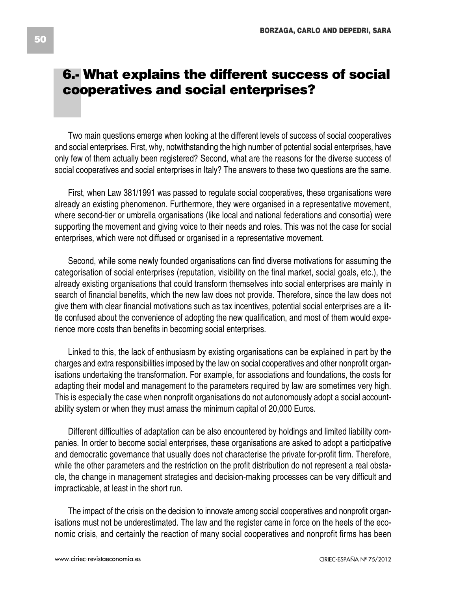# **6.- What explains the different success of social cooperatives and social enterprises?**

Two main questions emerge when looking at the different levels of success of social cooperatives and social enterprises. First, why, notwithstanding the high number of potential social enterprises, have only few of them actually been registered? Second, what are the reasons for the diverse success of social cooperatives and social enterprises in Italy? The answers to these two questions are the same.

First, when Law 381/1991 was passed to regulate social cooperatives, these organisations were already an existing phenomenon. Furthermore, they were organised in a representative movement, where second-tier or umbrella organisations (like local and national federations and consortia) were supporting the movement and giving voice to their needs and roles. This was not the case for social enterprises, which were not diffused or organised in a representative movement.

Second, while some newly founded organisations can find diverse motivations for assuming the categorisation of social enterprises (reputation, visibility on the final market, social goals, etc.), the already existing organisations that could transform themselves into social enterprises are mainly in search of financial benefits, which the new law does not provide. Therefore, since the law does not give them with clear financial motivations such as tax incentives, potential social enterprises are a little confused about the convenience of adopting the new qualification, and most of them would experience more costs than benefits in becoming social enterprises.

Linked to this, the lack of enthusiasm by existing organisations can be explained in part by the charges and extra responsibilities imposed by the law on social cooperatives and other nonprofit organisations undertaking the transformation. For example, for associations and foundations, the costs for adapting their model and management to the parameters required by law are sometimes very high. This is especially the case when nonprofit organisations do not autonomously adopt a social accountability system or when they must amass the minimum capital of 20,000 Euros.

Different difficulties of adaptation can be also encountered by holdings and limited liability companies. In order to become social enterprises, these organisations are asked to adopt a participative and democratic governance that usually does not characterise the private for-profit firm. Therefore, while the other parameters and the restriction on the profit distribution do not represent a real obstacle, the change in management strategies and decision-making processes can be very difficult and impracticable, at least in the short run.

The impact of the crisis on the decision to innovate among social cooperatives and nonprofit organisations must not be underestimated. The law and the register came in force on the heels of the economic crisis, and certainly the reaction of many social cooperatives and nonprofit firms has been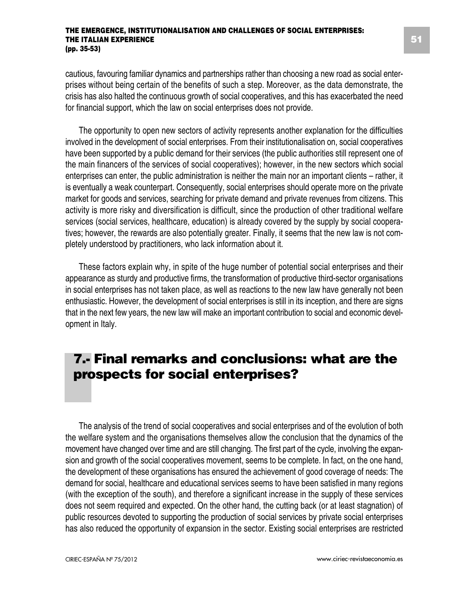cautious, favouring familiar dynamics and partnerships rather than choosing a new road as social enterprises without being certain of the benefits of such a step. Moreover, as the data demonstrate, the crisis has also halted the continuous growth of social cooperatives, and this has exacerbated the need for financial support, which the law on social enterprises does not provide.

The opportunity to open new sectors of activity represents another explanation for the difficulties involved in the development of social enterprises. From their institutionalisation on, social cooperatives have been supported by a public demand for their services (the public authorities still represent one of the main financers of the services of social cooperatives); however, in the new sectors which social enterprises can enter, the public administration is neither the main nor an important clients – rather, it is eventually a weak counterpart. Consequently, social enterprises should operate more on the private market for goods and services, searching for private demand and private revenues from citizens. This activity is more risky and diversification is difficult, since the production of other traditional welfare services (social services, healthcare, education) is already covered by the supply by social cooperatives; however, the rewards are also potentially greater. Finally, it seems that the new law is not completely understood by practitioners, who lack information about it.

These factors explain why, in spite of the huge number of potential social enterprises and their appearance as sturdy and productive firms, the transformation of productive third-sector organisations in social enterprises has not taken place, as well as reactions to the new law have generally not been enthusiastic. However, the development of social enterprises is still in its inception, and there are signs that in the next few years, the new law will make an important contribution to social and economic development in Italy.

# **7.- Final remarks and conclusions: what are the prospects for social enterprises?**

The analysis of the trend of social cooperatives and social enterprises and of the evolution of both the welfare system and the organisations themselves allow the conclusion that the dynamics of the movement have changed over time and are still changing. The first part of the cycle, involving the expansion and growth of the social cooperatives movement, seems to be complete. In fact, on the one hand, the development of these organisations has ensured the achievement of good coverage of needs: The demand for social, healthcare and educational services seems to have been satisfied in many regions (with the exception of the south), and therefore a significant increase in the supply of these services does not seem required and expected. On the other hand, the cutting back (or at least stagnation) of public resources devoted to supporting the production of social services by private social enterprises has also reduced the opportunity of expansion in the sector. Existing social enterprises are restricted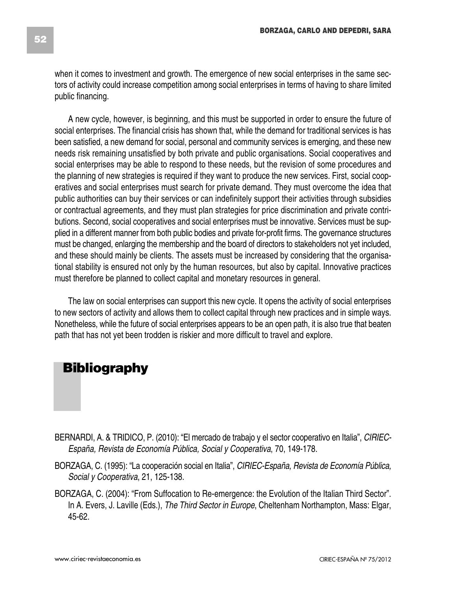when it comes to investment and growth. The emergence of new social enterprises in the same sectors of activity could increase competition among social enterprises in terms of having to share limited public financing.

A new cycle, however, is beginning, and this must be supported in order to ensure the future of social enterprises. The financial crisis has shown that, while the demand for traditional services is has been satisfied, a new demand for social, personal and community services is emerging, and these new needs risk remaining unsatisfied by both private and public organisations. Social cooperatives and social enterprises may be able to respond to these needs, but the revision of some procedures and the planning of new strategies is required if they want to produce the new services. First, social cooperatives and social enterprises must search for private demand. They must overcome the idea that public authorities can buy their services or can indefinitely support their activities through subsidies or contractual agreements, and they must plan strategies for price discrimination and private contributions. Second, social cooperatives and social enterprises must be innovative. Services must be supplied in a different manner from both public bodies and private for-profit firms. The governance structures must be changed, enlarging the membership and the board of directors to stakeholders not yet included, and these should mainly be clients. The assets must be increased by considering that the organisational stability is ensured not only by the human resources, but also by capital. Innovative practices must therefore be planned to collect capital and monetary resources in general.

The law on social enterprises can support this new cycle. It opens the activity of social enterprises to new sectors of activity and allows them to collect capital through new practices and in simple ways. Nonetheless, while the future of social enterprises appears to be an open path, it is also true that beaten path that has not yet been trodden is riskier and more difficult to travel and explore.

# **Bibliography**

- BERNARDI, A. & TRIDICO, P. (2010): "El mercado de trabajo y el sector cooperativo en Italia", *CIRIEC-España, Revista de Economía Pública, Social y Cooperativa*, 70, 149-178.
- BORZAGA, C. (1995): "La cooperación social en Italia", *CIRIEC-España, Revista de Economía Pública, Social y Cooperativa*, 21, 125-138.
- BORZAGA, C. (2004): "From Suffocation to Re-emergence: the Evolution of the Italian Third Sector". In A. Evers, J. Laville (Eds.), *The Third Sector in Europe*, Cheltenham Northampton, Mass: Elgar, 45-62.